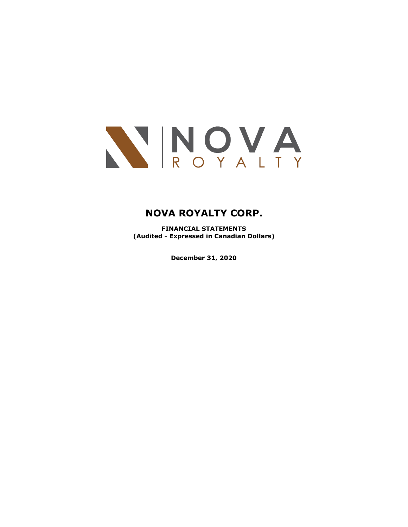

**FINANCIAL STATEMENTS (Audited - Expressed in Canadian Dollars)**

**December 31, 2020**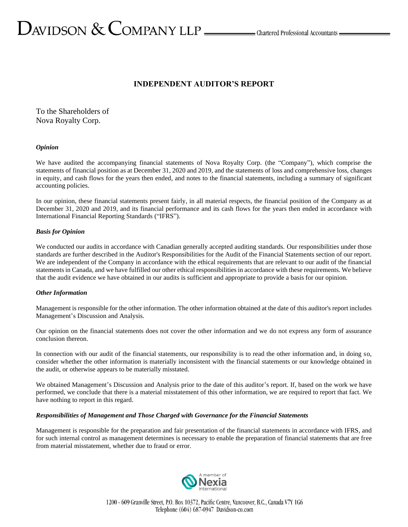# **INDEPENDENT AUDITOR'S REPORT**

To the Shareholders of Nova Royalty Corp.

# *Opinion*

We have audited the accompanying financial statements of Nova Royalty Corp. (the "Company"), which comprise the statements of financial position as at December 31, 2020 and 2019, and the statements of loss and comprehensive loss, changes in equity, and cash flows for the years then ended, and notes to the financial statements, including a summary of significant accounting policies.

In our opinion, these financial statements present fairly, in all material respects, the financial position of the Company as at December 31, 2020 and 2019, and its financial performance and its cash flows for the years then ended in accordance with International Financial Reporting Standards ("IFRS").

# *Basis for Opinion*

We conducted our audits in accordance with Canadian generally accepted auditing standards. Our responsibilities under those standards are further described in the Auditor's Responsibilities for the Audit of the Financial Statements section of our report. We are independent of the Company in accordance with the ethical requirements that are relevant to our audit of the financial statements in Canada, and we have fulfilled our other ethical responsibilities in accordance with these requirements. We believe that the audit evidence we have obtained in our audits is sufficient and appropriate to provide a basis for our opinion.

# *Other Information*

Management is responsible for the other information. The other information obtained at the date of this auditor's report includes Management's Discussion and Analysis.

Our opinion on the financial statements does not cover the other information and we do not express any form of assurance conclusion thereon.

In connection with our audit of the financial statements, our responsibility is to read the other information and, in doing so, consider whether the other information is materially inconsistent with the financial statements or our knowledge obtained in the audit, or otherwise appears to be materially misstated.

We obtained Management's Discussion and Analysis prior to the date of this auditor's report. If, based on the work we have performed, we conclude that there is a material misstatement of this other information, we are required to report that fact. We have nothing to report in this regard.

# *Responsibilities of Management and Those Charged with Governance for the Financial Statements*

Management is responsible for the preparation and fair presentation of the financial statements in accordance with IFRS, and for such internal control as management determines is necessary to enable the preparation of financial statements that are free from material misstatement, whether due to fraud or error.

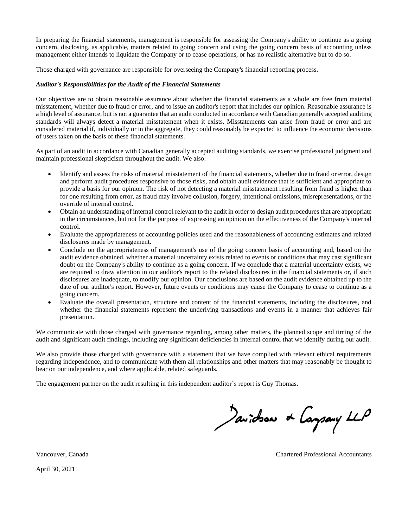In preparing the financial statements, management is responsible for assessing the Company's ability to continue as a going concern, disclosing, as applicable, matters related to going concern and using the going concern basis of accounting unless management either intends to liquidate the Company or to cease operations, or has no realistic alternative but to do so.

Those charged with governance are responsible for overseeing the Company's financial reporting process.

# *Auditor's Responsibilities for the Audit of the Financial Statements*

Our objectives are to obtain reasonable assurance about whether the financial statements as a whole are free from material misstatement, whether due to fraud or error, and to issue an auditor's report that includes our opinion. Reasonable assurance is a high level of assurance, but is not a guarantee that an audit conducted in accordance with Canadian generally accepted auditing standards will always detect a material misstatement when it exists. Misstatements can arise from fraud or error and are considered material if, individually or in the aggregate, they could reasonably be expected to influence the economic decisions of users taken on the basis of these financial statements.

As part of an audit in accordance with Canadian generally accepted auditing standards, we exercise professional judgment and maintain professional skepticism throughout the audit. We also:

- Identify and assess the risks of material misstatement of the financial statements, whether due to fraud or error, design and perform audit procedures responsive to those risks, and obtain audit evidence that is sufficient and appropriate to provide a basis for our opinion. The risk of not detecting a material misstatement resulting from fraud is higher than for one resulting from error, as fraud may involve collusion, forgery, intentional omissions, misrepresentations, or the override of internal control.
- Obtain an understanding of internal control relevant to the audit in order to design audit procedures that are appropriate in the circumstances, but not for the purpose of expressing an opinion on the effectiveness of the Company's internal control.
- Evaluate the appropriateness of accounting policies used and the reasonableness of accounting estimates and related disclosures made by management.
- Conclude on the appropriateness of management's use of the going concern basis of accounting and, based on the audit evidence obtained, whether a material uncertainty exists related to events or conditions that may cast significant doubt on the Company's ability to continue as a going concern. If we conclude that a material uncertainty exists, we are required to draw attention in our auditor's report to the related disclosures in the financial statements or, if such disclosures are inadequate, to modify our opinion. Our conclusions are based on the audit evidence obtained up to the date of our auditor's report. However, future events or conditions may cause the Company to cease to continue as a going concern.
- Evaluate the overall presentation, structure and content of the financial statements, including the disclosures, and whether the financial statements represent the underlying transactions and events in a manner that achieves fair presentation.

We communicate with those charged with governance regarding, among other matters, the planned scope and timing of the audit and significant audit findings, including any significant deficiencies in internal control that we identify during our audit.

We also provide those charged with governance with a statement that we have complied with relevant ethical requirements regarding independence, and to communicate with them all relationships and other matters that may reasonably be thought to bear on our independence, and where applicable, related safeguards.

The engagement partner on the audit resulting in this independent auditor's report is Guy Thomas.

Javidson & Caysany LLP

Vancouver, Canada Chartered Professional Accountants

April 30, 2021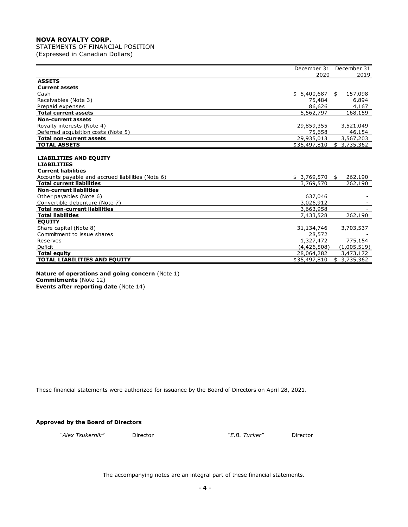STATEMENTS OF FINANCIAL POSITION (Expressed in Canadian Dollars)

|                                                   | December 31  | December 31     |
|---------------------------------------------------|--------------|-----------------|
|                                                   | 2020         | 2019            |
| <b>ASSETS</b>                                     |              |                 |
| <b>Current assets</b>                             |              |                 |
| Cash                                              | \$5,400,687  | 157,098<br>\$   |
| Receivables (Note 3)                              | 75,484       | 6,894           |
| Prepaid expenses                                  | 86,626       | 4,167           |
| <b>Total current assets</b>                       | 5,562,797    | 168,159         |
| <b>Non-current assets</b>                         |              |                 |
| Royalty interests (Note 4)                        | 29,859,355   | 3,521,049       |
| Deferred acquisition costs (Note 5)               | 75,658       | 46,154          |
| <b>Total non-current assets</b>                   | 29,935,013   | 3,567,203       |
| <b>TOTAL ASSETS</b>                               | \$35,497,810 | \$<br>3,735,362 |
|                                                   |              |                 |
| <b>LIABILITIES AND EQUITY</b>                     |              |                 |
| <b>LIABILITIES</b>                                |              |                 |
| <b>Current liabilities</b>                        |              |                 |
| Accounts payable and accrued liabilities (Note 6) | \$3,769,570  | 262,190<br>\$   |
| <b>Total current liabilities</b>                  | 3,769,570    | 262,190         |
| <b>Non-current liabilities</b>                    |              |                 |
| Other payables (Note 6)                           | 637,046      |                 |
| Convertible debenture (Note 7)                    | 3,026,912    |                 |
| <b>Total non-current liabilities</b>              | 3,663,958    |                 |
| <b>Total liabilities</b>                          | 7,433,528    | 262,190         |
| <b>EQUITY</b>                                     |              |                 |
| Share capital (Note 8)                            | 31,134,746   | 3,703,537       |
| Commitment to issue shares                        | 28,572       |                 |
| Reserves                                          | 1,327,472    | 775,154         |
| Deficit                                           | (4,426,508)  | (1,005,519)     |
| <b>Total equity</b>                               | 28,064,282   | 3,473,172       |
| <b>TOTAL LIABILITIES AND EQUITY</b>               | \$35,497,810 | 3,735,362<br>\$ |

**Nature of operations and going concern** (Note 1) **Commitments** (Note 12) **Events after reporting date** (Note 14)

These financial statements were authorized for issuance by the Board of Directors on April 28, 2021.

# **Approved by the Board of Directors**

*"Alex Tsukernik"* Director *"E.B. Tucker"* Director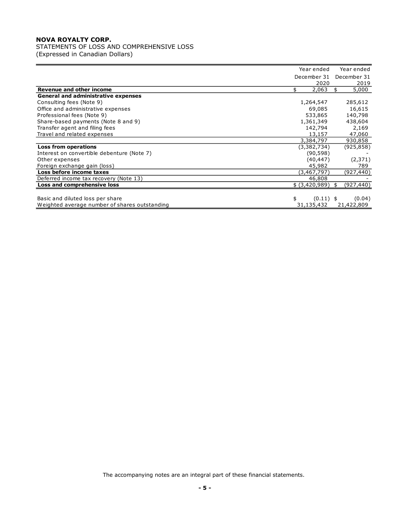# STATEMENTS OF LOSS AND COMPREHENSIVE LOSS

(Expressed in Canadian Dollars)

|                                               | Year ended        |     | Year ended  |
|-----------------------------------------------|-------------------|-----|-------------|
|                                               | December 31       |     | December 31 |
|                                               | 2020              |     | 2019        |
| Revenue and other income                      | 2,063             | \$. | 5,000       |
| <b>General and administrative expenses</b>    |                   |     |             |
| Consulting fees (Note 9)                      | 1,264,547         |     | 285,612     |
| Office and administrative expenses            | 69,085            |     | 16,615      |
| Professional fees (Note 9)                    | 533,865           |     | 140,798     |
| Share-based payments (Note 8 and 9)           | 1,361,349         |     | 438,604     |
| Transfer agent and filing fees                | 142,794           |     | 2,169       |
| Travel and related expenses                   | 13,157            |     | 47,060      |
|                                               | 3,384,797         |     | 930,858     |
| <b>Loss from operations</b>                   | (3,382,734)       |     | (925,858)   |
| Interest on convertible debenture (Note 7)    | (90, 598)         |     |             |
| Other expenses                                | (40, 447)         |     | (2, 371)    |
| Foreign exchange gain (loss)                  | 45,982            |     | 789         |
| Loss before income taxes                      | (3,467,797)       |     | (927,440)   |
| Deferred income tax recovery (Note 13)        | 46,808            |     |             |
| Loss and comprehensive loss                   | \$ (3,420,989)    | \$  | (927, 440)  |
|                                               |                   |     |             |
| Basic and diluted loss per share              | \$<br>$(0.11)$ \$ |     | (0.04)      |
| Weighted average number of shares outstanding | 31,135,432        |     | 21,422,809  |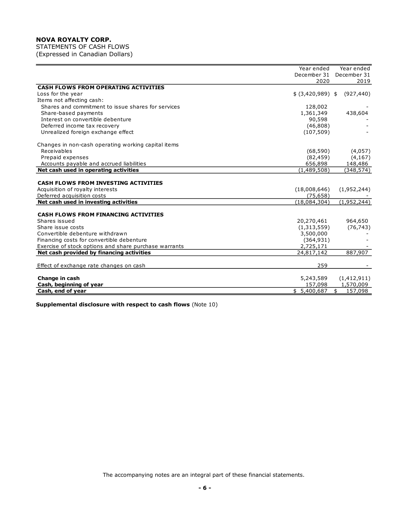STATEMENTS OF CASH FLOWS (Expressed in Canadian Dollars)

|                                                       | Year ended         | Year ended    |
|-------------------------------------------------------|--------------------|---------------|
|                                                       | December 31        | December 31   |
|                                                       | 2020               | 2019          |
| <b>CASH FLOWS FROM OPERATING ACTIVITIES</b>           |                    |               |
| Loss for the year                                     | $$$ (3,420,989) \$ | (927, 440)    |
| Items not affecting cash:                             |                    |               |
| Shares and commitment to issue shares for services    | 128,002            |               |
| Share-based payments                                  | 1,361,349          | 438,604       |
| Interest on convertible debenture                     | 90,598             |               |
| Deferred income tax recovery                          | (46,808)           |               |
| Unrealized foreign exchange effect                    | (107, 509)         |               |
| Changes in non-cash operating working capital items   |                    |               |
| Receivables                                           | (68, 590)          | (4,057)       |
| Prepaid expenses                                      | (82, 459)          | (4, 167)      |
| Accounts payable and accrued liabilities              | 656,898            | 148,486       |
| Net cash used in operating activities                 | (1,489,508)        | (348, 574)    |
|                                                       |                    |               |
| <b>CASH FLOWS FROM INVESTING ACTIVITIES</b>           |                    |               |
| Acquisition of royalty interests                      | (18,008,646)       | (1,952,244)   |
| Deferred acquisition costs                            | (75, 658)          |               |
| Net cash used in investing activities                 | (18,084,304)       | (1,952,244)   |
| <b>CASH FLOWS FROM FINANCING ACTIVITIES</b>           |                    |               |
| Shares issued                                         | 20,270,461         | 964,650       |
| Share issue costs                                     | (1,313,559)        | (76, 743)     |
| Convertible debenture withdrawn                       | 3,500,000          |               |
| Financing costs for convertible debenture             | (364, 931)         |               |
| Exercise of stock options and share purchase warrants | 2,725,171          |               |
| Net cash provided by financing activities             | 24,817,142         | 887,907       |
|                                                       |                    |               |
| Effect of exchange rate changes on cash               | 259                |               |
| Change in cash                                        | 5,243,589          | (1,412,911)   |
| Cash, beginning of year                               | 157,098            | 1,570,009     |
| Cash, end of year                                     | \$5,400,687        | \$<br>157,098 |

**Supplemental disclosure with respect to cash flows** (Note 10)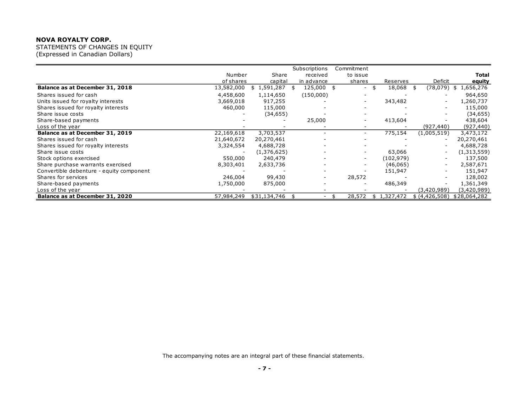STATEMENTS OF CHANGES IN EQUITY (Expressed in Canadian Dollars)

|                                          |            |              | Subscriptions            | Commitment               |                 |                          |                 |
|------------------------------------------|------------|--------------|--------------------------|--------------------------|-----------------|--------------------------|-----------------|
|                                          | Number     | Share        | received                 | to issue                 |                 |                          | Total           |
|                                          | of shares  | capital      | in advance               | shares                   | Reserves        | Deficit                  | equity          |
| Balance as at December 31, 2018          | 13,582,000 | 1,591,287    | 125,000 \$               | $\overline{\phantom{0}}$ | 18,068          | (78, 079)                | 1,656,276<br>\$ |
| Shares issued for cash                   | 4,458,600  | 1,114,650    | (150,000)                |                          |                 |                          | 964,650         |
| Units issued for royalty interests       | 3,669,018  | 917,255      |                          |                          | 343,482         |                          | 1,260,737       |
| Shares issued for royalty interests      | 460,000    | 115,000      |                          |                          |                 |                          | 115,000         |
| Share issue costs                        |            | (34, 655)    |                          |                          |                 |                          | (34, 655)       |
| Share-based payments                     |            |              | 25,000                   |                          | 413,604         |                          | 438,604         |
| Loss of the year                         |            |              |                          |                          |                 | (927, 440)               | (927, 440)      |
| Balance as at December 31, 2019          | 22,169,618 | 3,703,537    |                          | $\overline{\phantom{0}}$ | 775,154         | (1,005,519)              | 3,473,172       |
| Shares issued for cash                   | 21,640,672 | 20,270,461   |                          |                          |                 | $\overline{\phantom{a}}$ | 20,270,461      |
| Shares issued for royalty interests      | 3,324,554  | 4,688,728    |                          |                          |                 |                          | 4,688,728       |
| Share issue costs                        |            | (1,376,625)  |                          |                          | 63,066          | $\overline{\phantom{a}}$ | (1,313,559)     |
| Stock options exercised                  | 550,000    | 240,479      |                          |                          | (102, 979)      |                          | 137,500         |
| Share purchase warrants exercised        | 8,303,401  | 2,633,736    |                          |                          | (46,065)        | $\overline{\phantom{a}}$ | 2,587,671       |
| Convertible debenture - equity component |            |              |                          |                          | 151,947         |                          | 151,947         |
| Shares for services                      | 246,004    | 99,430       | $\overline{\phantom{0}}$ | 28,572                   |                 |                          | 128,002         |
| Share-based payments                     | 1,750,000  | 875,000      |                          |                          | 486,349         |                          | 1,361,349       |
| Loss of the year                         |            |              |                          |                          |                 | (3,420,989)              | (3,420,989)     |
| Balance as at December 31, 2020          | 57,984,249 | \$31,134,746 |                          | 28,572                   | 1,327,472<br>S. | \$ (4,426,508)           | \$28,064,282    |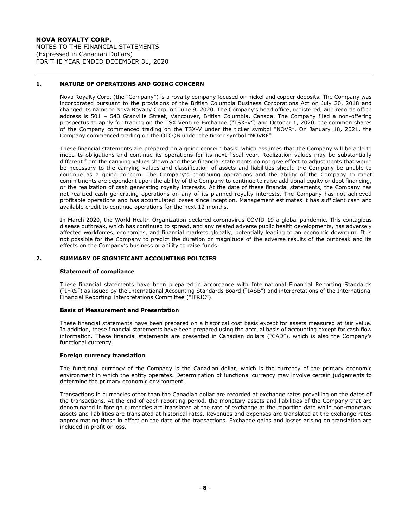**NOVA ROYALTY CORP.** NOTES TO THE FINANCIAL STATEMENTS (Expressed in Canadian Dollars) FOR THE YEAR ENDED DECEMBER 31, 2020

### **1. NATURE OF OPERATIONS AND GOING CONCERN**

Nova Royalty Corp. (the "Company") is a royalty company focused on nickel and copper deposits. The Company was incorporated pursuant to the provisions of the British Columbia Business Corporations Act on July 20, 2018 and changed its name to Nova Royalty Corp. on June 9, 2020. The Company's head office, registered, and records office address is 501 – 543 Granville Street, Vancouver, British Columbia, Canada. The Company filed a non-offering prospectus to apply for trading on the TSX Venture Exchange ("TSX-V") and October 1, 2020, the common shares of the Company commenced trading on the TSX-V under the ticker symbol "NOVR". On January 18, 2021, the Company commenced trading on the OTCQB under the ticker symbol "NOVRF".

These financial statements are prepared on a going concern basis, which assumes that the Company will be able to meet its obligations and continue its operations for its next fiscal year. Realization values may be substantially different from the carrying values shown and these financial statements do not give effect to adjustments that would be necessary to the carrying values and classification of assets and liabilities should the Company be unable to continue as a going concern. The Company's continuing operations and the ability of the Company to meet commitments are dependent upon the ability of the Company to continue to raise additional equity or debt financing, or the realization of cash generating royalty interests. At the date of these financial statements, the Company has not realized cash generating operations on any of its planned royalty interests. The Company has not achieved profitable operations and has accumulated losses since inception. Management estimates it has sufficient cash and available credit to continue operations for the next 12 months.

In March 2020, the World Health Organization declared coronavirus COVID-19 a global pandemic. This contagious disease outbreak, which has continued to spread, and any related adverse public health developments, has adversely affected workforces, economies, and financial markets globally, potentially leading to an economic downturn. It is not possible for the Company to predict the duration or magnitude of the adverse results of the outbreak and its effects on the Company's business or ability to raise funds.

### **2. SUMMARY OF SIGNIFICANT ACCOUNTING POLICIES**

### **Statement of compliance**

These financial statements have been prepared in accordance with International Financial Reporting Standards ("IFRS") as issued by the International Accounting Standards Board ("IASB") and interpretations of the International Financial Reporting Interpretations Committee ("IFRIC").

### **Basis of Measurement and Presentation**

These financial statements have been prepared on a historical cost basis except for assets measured at fair value. In addition, these financial statements have been prepared using the accrual basis of accounting except for cash flow information. These financial statements are presented in Canadian dollars ("CAD"), which is also the Company's functional currency.

### **Foreign currency translation**

The functional currency of the Company is the Canadian dollar, which is the currency of the primary economic environment in which the entity operates. Determination of functional currency may involve certain judgements to determine the primary economic environment.

Transactions in currencies other than the Canadian dollar are recorded at exchange rates prevailing on the dates of the transactions. At the end of each reporting period, the monetary assets and liabilities of the Company that are denominated in foreign currencies are translated at the rate of exchange at the reporting date while non-monetary assets and liabilities are translated at historical rates. Revenues and expenses are translated at the exchange rates approximating those in effect on the date of the transactions. Exchange gains and losses arising on translation are included in profit or loss.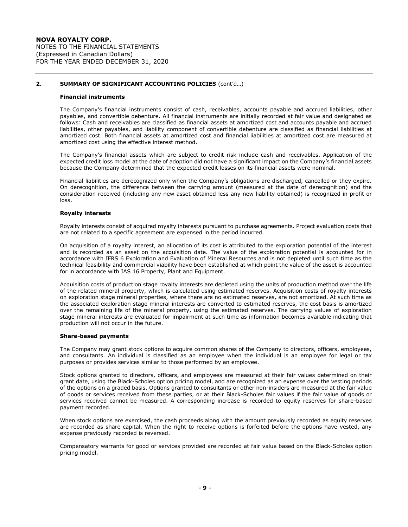#### **Financial instruments**

The Company's financial instruments consist of cash, receivables, accounts payable and accrued liabilities, other payables, and convertible debenture. All financial instruments are initially recorded at fair value and designated as follows: Cash and receivables are classified as financial assets at amortized cost and accounts payable and accrued liabilities, other payables, and liability component of convertible debenture are classified as financial liabilities at amortized cost. Both financial assets at amortized cost and financial liabilities at amortized cost are measured at amortized cost using the effective interest method.

The Company's financial assets which are subject to credit risk include cash and receivables. Application of the expected credit loss model at the date of adoption did not have a significant impact on the Company's financial assets because the Company determined that the expected credit losses on its financial assets were nominal.

Financial liabilities are derecognized only when the Company's obligations are discharged, cancelled or they expire. On derecognition, the difference between the carrying amount (measured at the date of derecognition) and the consideration received (including any new asset obtained less any new liability obtained) is recognized in profit or loss.

### **Royalty interests**

Royalty interests consist of acquired royalty interests pursuant to purchase agreements. Project evaluation costs that are not related to a specific agreement are expensed in the period incurred.

On acquisition of a royalty interest, an allocation of its cost is attributed to the exploration potential of the interest and is recorded as an asset on the acquisition date. The value of the exploration potential is accounted for in accordance with IFRS 6 Exploration and Evaluation of Mineral Resources and is not depleted until such time as the technical feasibility and commercial viability have been established at which point the value of the asset is accounted for in accordance with IAS 16 Property, Plant and Equipment.

Acquisition costs of production stage royalty interests are depleted using the units of production method over the life of the related mineral property, which is calculated using estimated reserves. Acquisition costs of royalty interests on exploration stage mineral properties, where there are no estimated reserves, are not amortized. At such time as the associated exploration stage mineral interests are converted to estimated reserves, the cost basis is amortized over the remaining life of the mineral property, using the estimated reserves. The carrying values of exploration stage mineral interests are evaluated for impairment at such time as information becomes available indicating that production will not occur in the future.

#### **Share-based payments**

The Company may grant stock options to acquire common shares of the Company to directors, officers, employees, and consultants. An individual is classified as an employee when the individual is an employee for legal or tax purposes or provides services similar to those performed by an employee.

Stock options granted to directors, officers, and employees are measured at their fair values determined on their grant date, using the Black-Scholes option pricing model, and are recognized as an expense over the vesting periods of the options on a graded basis. Options granted to consultants or other non-insiders are measured at the fair value of goods or services received from these parties, or at their Black-Scholes fair values if the fair value of goods or services received cannot be measured. A corresponding increase is recorded to equity reserves for share-based payment recorded.

When stock options are exercised, the cash proceeds along with the amount previously recorded as equity reserves are recorded as share capital. When the right to receive options is forfeited before the options have vested, any expense previously recorded is reversed.

Compensatory warrants for good or services provided are recorded at fair value based on the Black-Scholes option pricing model.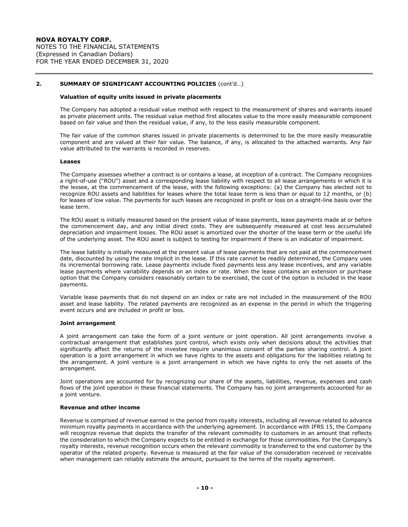#### **Valuation of equity units issued in private placements**

The Company has adopted a residual value method with respect to the measurement of shares and warrants issued as private placement units. The residual value method first allocates value to the more easily measurable component based on fair value and then the residual value, if any, to the less easily measurable component.

The fair value of the common shares issued in private placements is determined to be the more easily measurable component and are valued at their fair value. The balance, if any, is allocated to the attached warrants. Any fair value attributed to the warrants is recorded in reserves.

#### **Leases**

The Company assesses whether a contract is or contains a lease, at inception of a contract. The Company recognizes a right-of-use ("ROU") asset and a corresponding lease liability with respect to all lease arrangements in which it is the lessee, at the commencement of the lease, with the following exceptions: (a) the Company has elected not to recognize ROU assets and liabilities for leases where the total lease term is less than or equal to 12 months, or (b) for leases of low value. The payments for such leases are recognized in profit or loss on a straight-line basis over the lease term.

The ROU asset is initially measured based on the present value of lease payments, lease payments made at or before the commencement day, and any initial direct costs. They are subsequently measured at cost less accumulated depreciation and impairment losses. The ROU asset is amortized over the shorter of the lease term or the useful life of the underlying asset. The ROU asset is subject to testing for impairment if there is an indicator of impairment.

The lease liability is initially measured at the present value of lease payments that are not paid at the commencement date, discounted by using the rate implicit in the lease. If this rate cannot be readily determined, the Company uses its incremental borrowing rate. Lease payments include fixed payments less any lease incentives, and any variable lease payments where variability depends on an index or rate. When the lease contains an extension or purchase option that the Company considers reasonably certain to be exercised, the cost of the option is included in the lease payments.

Variable lease payments that do not depend on an index or rate are not included in the measurement of the ROU asset and lease liability. The related payments are recognized as an expense in the period in which the triggering event occurs and are included in profit or loss.

### **Joint arrangement**

A joint arrangement can take the form of a joint venture or joint operation. All joint arrangements involve a contractual arrangement that establishes joint control, which exists only when decisions about the activities that significantly affect the returns of the investee require unanimous consent of the parties sharing control. A joint operation is a joint arrangement in which we have rights to the assets and obligations for the liabilities relating to the arrangement. A joint venture is a joint arrangement in which we have rights to only the net assets of the arrangement.

Joint operations are accounted for by recognizing our share of the assets, liabilities, revenue, expenses and cash flows of the joint operation in these financial statements. The Company has no joint arrangements accounted for as a joint venture.

### **Revenue and other income**

Revenue is comprised of revenue earned in the period from royalty interests, including all revenue related to advance minimum royalty payments in accordance with the underlying agreement. In accordance with IFRS 15, the Company will recognize revenue that depicts the transfer of the relevant commodity to customers in an amount that reflects the consideration to which the Company expects to be entitled in exchange for those commodities. For the Company's royalty interests, revenue recognition occurs when the relevant commodity is transferred to the end customer by the operator of the related property. Revenue is measured at the fair value of the consideration received or receivable when management can reliably estimate the amount, pursuant to the terms of the royalty agreement.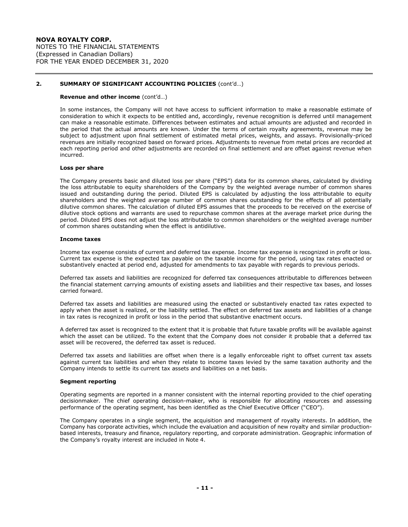#### **Revenue and other income** (cont'd…)

In some instances, the Company will not have access to sufficient information to make a reasonable estimate of consideration to which it expects to be entitled and, accordingly, revenue recognition is deferred until management can make a reasonable estimate. Differences between estimates and actual amounts are adjusted and recorded in the period that the actual amounts are known. Under the terms of certain royalty agreements, revenue may be subject to adjustment upon final settlement of estimated metal prices, weights, and assays. Provisionally-priced revenues are initially recognized based on forward prices. Adjustments to revenue from metal prices are recorded at each reporting period and other adjustments are recorded on final settlement and are offset against revenue when incurred.

#### **Loss per share**

The Company presents basic and diluted loss per share ("EPS") data for its common shares, calculated by dividing the loss attributable to equity shareholders of the Company by the weighted average number of common shares issued and outstanding during the period. Diluted EPS is calculated by adjusting the loss attributable to equity shareholders and the weighted average number of common shares outstanding for the effects of all potentially dilutive common shares. The calculation of diluted EPS assumes that the proceeds to be received on the exercise of dilutive stock options and warrants are used to repurchase common shares at the average market price during the period. Diluted EPS does not adjust the loss attributable to common shareholders or the weighted average number of common shares outstanding when the effect is antidilutive.

#### **Income taxes**

Income tax expense consists of current and deferred tax expense. Income tax expense is recognized in profit or loss. Current tax expense is the expected tax payable on the taxable income for the period, using tax rates enacted or substantively enacted at period end, adjusted for amendments to tax payable with regards to previous periods.

Deferred tax assets and liabilities are recognized for deferred tax consequences attributable to differences between the financial statement carrying amounts of existing assets and liabilities and their respective tax bases, and losses carried forward.

Deferred tax assets and liabilities are measured using the enacted or substantively enacted tax rates expected to apply when the asset is realized, or the liability settled. The effect on deferred tax assets and liabilities of a change in tax rates is recognized in profit or loss in the period that substantive enactment occurs.

A deferred tax asset is recognized to the extent that it is probable that future taxable profits will be available against which the asset can be utilized. To the extent that the Company does not consider it probable that a deferred tax asset will be recovered, the deferred tax asset is reduced.

Deferred tax assets and liabilities are offset when there is a legally enforceable right to offset current tax assets against current tax liabilities and when they relate to income taxes levied by the same taxation authority and the Company intends to settle its current tax assets and liabilities on a net basis.

#### **Segment reporting**

Operating segments are reported in a manner consistent with the internal reporting provided to the chief operating decisionmaker. The chief operating decision-maker, who is responsible for allocating resources and assessing performance of the operating segment, has been identified as the Chief Executive Officer ("CEO").

The Company operates in a single segment, the acquisition and management of royalty interests. In addition, the Company has corporate activities, which include the evaluation and acquisition of new royalty and similar productionbased interests, treasury and finance, regulatory reporting, and corporate administration. Geographic information of the Company's royalty interest are included in Note 4.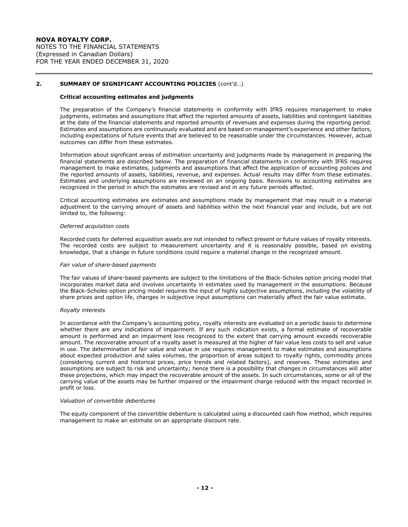#### **Critical accounting estimates and judgments**

The preparation of the Company's financial statements in conformity with IFRS requires management to make judgments, estimates and assumptions that affect the reported amounts of assets, liabilities and contingent liabilities at the date of the financial statements and reported amounts of revenues and expenses during the reporting period. Estimates and assumptions are continuously evaluated and are based on management's experience and other factors, including expectations of future events that are believed to be reasonable under the circumstances. However, actual outcomes can differ from these estimates.

Information about significant areas of estimation uncertainty and judgments made by management in preparing the financial statements are described below. The preparation of financial statements in conformity with IFRS requires management to make estimates, judgments and assumptions that affect the application of accounting policies and the reported amounts of assets, liabilities, revenue, and expenses. Actual results may differ from these estimates. Estimates and underlying assumptions are reviewed on an ongoing basis. Revisions to accounting estimates are recognized in the period in which the estimates are revised and in any future periods affected.

Critical accounting estimates are estimates and assumptions made by management that may result in a material adjustment to the carrying amount of assets and liabilities within the next financial year and include, but are not limited to, the following:

#### *Deferred acquisition costs*

Recorded costs for deferred acquisition assets are not intended to reflect present or future values of royalty interests. The recorded costs are subject to measurement uncertainty and it is reasonably possible, based on existing knowledge, that a change in future conditions could require a material change in the recognized amount.

#### *Fair value of share-based payments*

The fair values of share-based payments are subject to the limitations of the Black-Scholes option pricing model that incorporates market data and involves uncertainty in estimates used by management in the assumptions. Because the Black-Scholes option pricing model requires the input of highly subjective assumptions, including the volatility of share prices and option life, changes in subjective input assumptions can materially affect the fair value estimate.

#### *Royalty interests*

In accordance with the Company's accounting policy, royalty interests are evaluated on a periodic basis to determine whether there are any indications of impairment. If any such indication exists, a formal estimate of recoverable amount is performed and an impairment loss recognized to the extent that carrying amount exceeds recoverable amount. The recoverable amount of a royalty asset is measured at the higher of fair value less costs to sell and value in use. The determination of fair value and value in use requires management to make estimates and assumptions about expected production and sales volumes, the proportion of areas subject to royalty rights, commodity prices (considering current and historical prices, price trends and related factors), and reserves. These estimates and assumptions are subject to risk and uncertainty; hence there is a possibility that changes in circumstances will alter these projections, which may impact the recoverable amount of the assets. In such circumstances, some or all of the carrying value of the assets may be further impaired or the impairment charge reduced with the impact recorded in profit or loss.

#### *Valuation of convertible debentures*

The equity component of the convertible debenture is calculated using a discounted cash flow method, which requires management to make an estimate on an appropriate discount rate.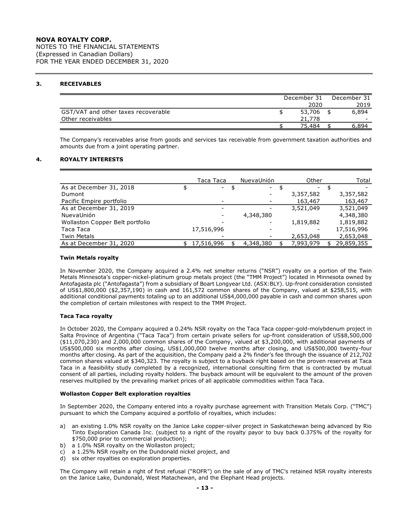NOTES TO THE FINANCIAL STATEMENTS (Expressed in Canadian Dollars) FOR THE YEAR ENDED DECEMBER 31, 2020

# **3. RECEIVABLES**

|                                     | December 31 | December 31 |
|-------------------------------------|-------------|-------------|
|                                     | 2020        | 2019        |
| GST/VAT and other taxes recoverable | 53,706      | 6,894       |
| Other receivables                   | 21.778      | -           |
|                                     | 75.484      | 894.ر       |

The Company's receivables arise from goods and services tax receivable from government taxation authorities and amounts due from a joint operating partner.

### **4. ROYALTY INTERESTS**

|                                 | Taca Taca  |     | NuevaUnión | Other     | Total      |
|---------------------------------|------------|-----|------------|-----------|------------|
| As at December 31, 2018         | $\sim 100$ | -\$ | $\sim$     |           |            |
| Dumont                          |            |     | -          | 3,357,582 | 3,357,582  |
| Pacific Empire portfolio        |            |     |            | 163,467   | 163,467    |
| As at December 31, 2019         |            |     |            | 3,521,049 | 3,521,049  |
| NuevaUnión                      |            |     | 4,348,380  |           | 4,348,380  |
| Wollaston Copper Belt portfolio |            |     |            | 1,819,882 | 1,819,882  |
| Taca Taca                       | 17,516,996 |     |            |           | 17,516,996 |
| <b>Twin Metals</b>              |            |     |            | 2,653,048 | 2,653,048  |
| As at December 31, 2020         | 17,516,996 |     | 4,348,380  | 7,993,979 | 29,859,355 |

### **Twin Metals royalty**

In November 2020, the Company acquired a 2.4% net smelter returns ("NSR") royalty on a portion of the Twin Metals Minnesota's copper-nickel-platinum group metals project (the "TMM Project") located in Minnesota owned by Antofagasta plc ("Antofagasta") from a subsidiary of Boart Longyear Ltd. (ASX:BLY). Up-front consideration consisted of US\$1,800,000 (\$2,357,190) in cash and 161,572 common shares of the Company, valued at \$258,515, with additional conditional payments totaling up to an additional US\$4,000,000 payable in cash and common shares upon the completion of certain milestones with respect to the TMM Project.

### **Taca Taca royalty**

In October 2020, the Company acquired a 0.24% NSR royalty on the Taca Taca copper-gold-molybdenum project in Salta Province of Argentina ("Taca Taca") from certain private sellers for up-front consideration of US\$8,500,000 (\$11,070,230) and 2,000,000 common shares of the Company, valued at \$3,200,000, with additional payments of US\$500,000 six months after closing, US\$1,000,000 twelve months after closing, and US\$500,000 twenty-four months after closing. As part of the acquisition, the Company paid a 2% finder's fee through the issuance of 212,702 common shares valued at \$340,323. The royalty is subject to a buyback right based on the proven reserves at Taca Taca in a feasibility study completed by a recognized, international consulting firm that is contracted by mutual consent of all parties, including royalty holders. The buyback amount will be equivalent to the amount of the proven reserves multiplied by the prevailing market prices of all applicable commodities within Taca Taca.

### **Wollaston Copper Belt exploration royalties**

In September 2020, the Company entered into a royalty purchase agreement with Transition Metals Corp. ("TMC") pursuant to which the Company acquired a portfolio of royalties, which includes:

- a) an existing 1.0% NSR royalty on the Janice Lake copper-silver project in Saskatchewan being advanced by Rio Tinto Exploration Canada Inc. (subject to a right of the royalty payor to buy back 0.375% of the royalty for \$750,000 prior to commercial production);
- b) a 1.0% NSR royalty on the Wollaston project;
- c) a 1.25% NSR royalty on the Dundonald nickel project, and
- d) six other royalties on exploration properties.

The Company will retain a right of first refusal ("ROFR") on the sale of any of TMC's retained NSR royalty interests on the Janice Lake, Dundonald, West Matachewan, and the Elephant Head projects.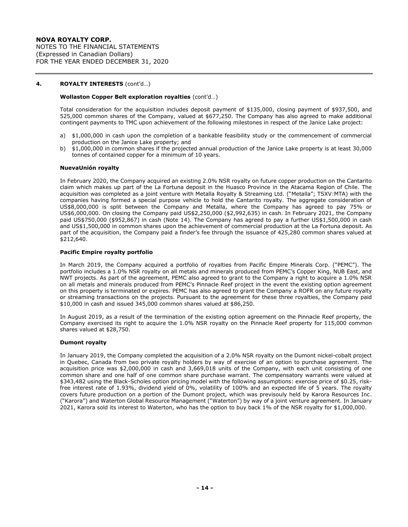### **4. ROYALTY INTERESTS** (cont'd…)

### **Wollaston Copper Belt exploration royalties** (cont'd…)

Total consideration for the acquisition includes deposit payment of \$135,000, closing payment of \$937,500, and 525,000 common shares of the Company, valued at \$677,250. The Company has also agreed to make additional contingent payments to TMC upon achievement of the following milestones in respect of the Janice Lake project:

- a) \$1,000,000 in cash upon the completion of a bankable feasibility study or the commencement of commercial production on the Janice Lake property; and
- b) \$1,000,000 in common shares if the projected annual production of the Janice Lake property is at least 30,000 tonnes of contained copper for a minimum of 10 years.

### **NuevaUnión royalty**

In February 2020, the Company acquired an existing 2.0% NSR royalty on future copper production on the Cantarito claim which makes up part of the La Fortuna deposit in the Huasco Province in the Atacama Region of Chile. The acquisition was completed as a joint venture with Metalla Royalty & Streaming Ltd. ("Metalla"; TSXV:MTA) with the companies having formed a special purpose vehicle to hold the Cantarito royalty. The aggregate consideration of US\$8,000,000 is split between the Company and Metalla, where the Company has agreed to pay 75% or US\$6,000,000. On closing the Company paid US\$2,250,000 (\$2,992,635) in cash. In February 2021, the Company paid US\$750,000 (\$952,867) in cash (Note 14). The Company has agreed to pay a further US\$1,500,000 in cash and US\$1,500,000 in common shares upon the achievement of commercial production at the La Fortuna deposit. As part of the acquisition, the Company paid a finder's fee through the issuance of 425,280 common shares valued at \$212,640.

#### **Pacific Empire royalty portfolio**

In March 2019, the Company acquired a portfolio of royalties from Pacific Empire Minerals Corp. ("PEMC"). The portfolio includes a 1.0% NSR royalty on all metals and minerals produced from PEMC's Copper King, NUB East, and NWT projects. As part of the agreement, PEMC also agreed to grant to the Company a right to acquire a 1.0% NSR on all metals and minerals produced from PEMC's Pinnacle Reef project in the event the existing option agreement on this property is terminated or expires. PEMC has also agreed to grant the Company a ROFR on any future royalty or streaming transactions on the projects. Pursuant to the agreement for these three royalties, the Company paid \$10,000 in cash and issued 345,000 common shares valued at \$86,250.

In August 2019, as a result of the termination of the existing option agreement on the Pinnacle Reef property, the Company exercised its right to acquire the 1.0% NSR royalty on the Pinnacle Reef property for 115,000 common shares valued at \$28,750.

#### **Dumont royalty**

In January 2019, the Company completed the acquisition of a 2.0% NSR royalty on the Dumont nickel-cobalt project in Quebec, Canada from two private royalty holders by way of exercise of an option to purchase agreement. The acquisition price was \$2,000,000 in cash and 3,669,018 units of the Company, with each unit consisting of one common share and one half of one common share purchase warrant. The compensatory warrants were valued at \$343,482 using the Black-Scholes option pricing model with the following assumptions: exercise price of \$0.25, riskfree interest rate of 1.93%, dividend yield of 0%, volatility of 100% and an expected life of 5 years. The royalty covers future production on a portion of the Dumont project, which was previsouly held by Karora Resources Inc. ("Karora") and Waterton Global Resource Management ("Waterton") by way of a joint venture agreement. In January 2021, Karora sold its interest to Waterton, who has the option to buy back 1% of the NSR royalty for \$1,000,000.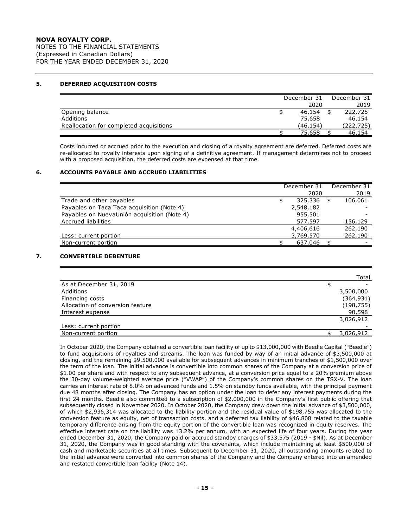NOTES TO THE FINANCIAL STATEMENTS (Expressed in Canadian Dollars) FOR THE YEAR ENDED DECEMBER 31, 2020

### **5. DEFERRED ACQUISITION COSTS**

|                                         | December 31 | December 31 |
|-----------------------------------------|-------------|-------------|
|                                         | 2020        | 2019        |
| Opening balance                         | 46,154      | 222,725     |
| Additions                               | 75,658      | 46,154      |
| Reallocation for completed acquisitions | (46.154)    | (222,725)   |
|                                         | 75,658      | 46,154      |

Costs incurred or accrued prior to the execution and closing of a royalty agreement are deferred. Deferred costs are re-allocated to royalty interests upon signing of a definitive agreement. If management determines not to proceed with a proposed acquisition, the deferred costs are expensed at that time.

### **6. ACCOUNTS PAYABLE AND ACCRUED LIABILITIES**

|                                             | December 31 | December 31 |
|---------------------------------------------|-------------|-------------|
|                                             | 2020        | 2019        |
| Trade and other payables                    | 325,336     | 106,061     |
| Payables on Taca Taca acquisition (Note 4)  | 2,548,182   |             |
| Payables on NuevaUnión acquisition (Note 4) | 955,501     |             |
| <b>Accrued liabilities</b>                  | 577,597     | 156,129     |
|                                             | 4,406,616   | 262,190     |
| Less: current portion                       | 3,769,570   | 262,190     |
| Non-current portion                         | 637,046     |             |

# **7. CONVERTIBLE DEBENTURE**

|                                  | Total      |
|----------------------------------|------------|
| As at December 31, 2019          |            |
| Additions                        | 3,500,000  |
| Financing costs                  | (364, 931) |
| Allocation of conversion feature | (198, 755) |
| Interest expense                 | 90,598     |
|                                  | 3,026,912  |
| Less: current portion            |            |
| Non-current portion              | 3,026,912  |

In October 2020, the Company obtained a convertible loan facility of up to \$13,000,000 with Beedie Capital ("Beedie") to fund acquisitions of royalties and streams. The loan was funded by way of an initial advance of \$3,500,000 at closing, and the remaining \$9,500,000 available for subsequent advances in minimum tranches of \$1,500,000 over the term of the loan. The initial advance is convertible into common shares of the Company at a conversion price of \$1.00 per share and with respect to any subsequent advance, at a conversion price equal to a 20% premium above the 30-day volume-weighted average price ("VWAP") of the Company's common shares on the TSX-V. The loan carries an interest rate of 8.0% on advanced funds and 1.5% on standby funds available, with the principal payment due 48 months after closing. The Company has an option under the loan to defer any interest payments during the first 24 months. Beedie also committed to a subscription of \$2,000,000 in the Company's first public offering that subsequently closed in November 2020. In October 2020, the Company drew down the initial advance of \$3,500,000, of which \$2,936,314 was allocated to the liability portion and the residual value of \$198,755 was allocated to the conversion feature as equity, net of transaction costs, and a deferred tax liability of \$46,808 related to the taxable temporary difference arising from the equity portion of the convertible loan was recognized in equity reserves. The effective interest rate on the liability was 13.2% per annum, with an expected life of four years. During the year ended December 31, 2020, the Company paid or accrued standby charges of \$33,575 (2019 - \$Nil). As at December 31, 2020, the Company was in good standing with the covenants, which include maintaining at least \$500,000 of cash and marketable securities at all times. Subsequent to December 31, 2020, all outstanding amounts related to the initial advance were converted into common shares of the Company and the Company entered into an amended and restated convertible loan facility (Note 14).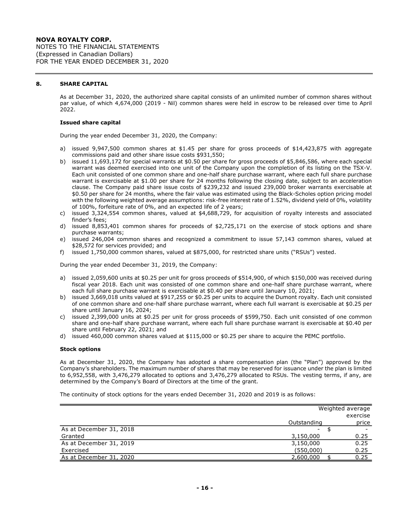### **8. SHARE CAPITAL**

As at December 31, 2020, the authorized share capital consists of an unlimited number of common shares without par value, of which 4,674,000 (2019 - Nil) common shares were held in escrow to be released over time to April 2022.

#### **Issued share capital**

During the year ended December 31, 2020, the Company:

- a) issued 9,947,500 common shares at \$1.45 per share for gross proceeds of \$14,423,875 with aggregate commissions paid and other share issue costs \$931,550;
- b) issued 11,693,172 for special warrants at \$0.50 per share for gross proceeds of \$5,846,586, where each special warrant was deemed exercised into one unit of the Company upon the completion of its listing on the TSX-V. Each unit consisted of one common share and one-half share purchase warrant, where each full share purchase warrant is exercisable at \$1.00 per share for 24 months following the closing date, subject to an acceleration clause. The Company paid share issue costs of \$239,232 and issued 239,000 broker warrants exercisable at \$0.50 per share for 24 months, where the fair value was estimated using the Black-Scholes option pricing model with the following weighted average assumptions: risk-free interest rate of 1.52%, dividend yield of 0%, volatility of 100%, forfeiture rate of 0%, and an expected life of 2 years;
- c) issued 3,324,554 common shares, valued at \$4,688,729, for acquisition of royalty interests and associated finder's fees;
- d) issued 8,853,401 common shares for proceeds of \$2,725,171 on the exercise of stock options and share purchase warrants;
- e) issued 246,004 common shares and recognized a commitment to issue 57,143 common shares, valued at \$28,572 for services provided; and
- f) issued 1,750,000 common shares, valued at \$875,000, for restricted share units ("RSUs") vested.

During the year ended December 31, 2019, the Company:

- a) issued 2,059,600 units at \$0.25 per unit for gross proceeds of \$514,900, of which \$150,000 was received during fiscal year 2018. Each unit was consisted of one common share and one-half share purchase warrant, where each full share purchase warrant is exercisable at \$0.40 per share until January 10, 2021;
- b) issued 3,669,018 units valued at \$917,255 or \$0.25 per units to acquire the Dumont royalty. Each unit consisted of one common share and one-half share purchase warrant, where each full warrant is exercisable at \$0.25 per share until January 16, 2024;
- c) issued 2,399,000 units at \$0.25 per unit for gross proceeds of \$599,750. Each unit consisted of one common share and one-half share purchase warrant, where each full share purchase warrant is exercisable at \$0.40 per share until February 22, 2021; and
- d) issued 460,000 common shares valued at \$115,000 or \$0.25 per share to acquire the PEMC portfolio.

### **Stock options**

As at December 31, 2020, the Company has adopted a share compensation plan (the "Plan") approved by the Company's shareholders. The maximum number of shares that may be reserved for issuance under the plan is limited to 6,952,558, with 3,476,279 allocated to options and 3,476,279 allocated to RSUs. The vesting terms, if any, are determined by the Company's Board of Directors at the time of the grant.

The continuity of stock options for the years ended December 31, 2020 and 2019 is as follows:

|                         |             | Weighted average |
|-------------------------|-------------|------------------|
|                         |             | exercise         |
|                         | Outstanding | price            |
| As at December 31, 2018 |             |                  |
| Granted                 | 3,150,000   | 0.25             |
| As at December 31, 2019 | 3,150,000   | 0.25             |
| Exercised               | (550,000)   | 0.25             |
| As at December 31, 2020 | 2,600,000   | 0.25             |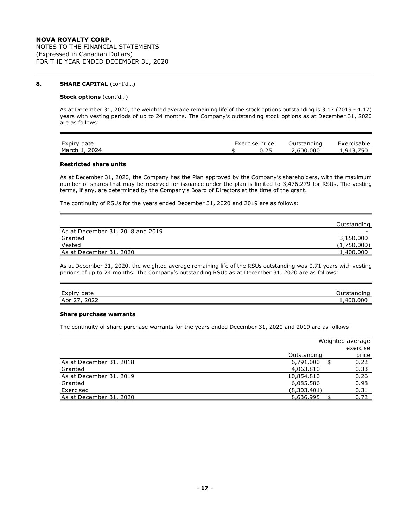# **NOVA ROYALTY CORP.** NOTES TO THE FINANCIAL STATEMENTS (Expressed in Canadian Dollars) FOR THE YEAR ENDED DECEMBER 31, 2020

### **8. SHARE CAPITAL** (cont'd…)

#### **Stock options** (cont'd…)

As at December 31, 2020, the weighted average remaining life of the stock options outstanding is 3.17 (2019 - 4.17) years with vesting periods of up to 24 months. The Company's outstanding stock options as at December 31, 2020 are as follows:

| Expir<br>date        | Exercise | price | standing   | <b>EVARCIC</b><br>cisable |
|----------------------|----------|-------|------------|---------------------------|
| 2024<br>March<br>-94 |          | 0.ZJ  | 000<br>60C | ۹4                        |

#### **Restricted share units**

As at December 31, 2020, the Company has the Plan approved by the Company's shareholders, with the maximum number of shares that may be reserved for issuance under the plan is limited to 3,476,279 for RSUs. The vesting terms, if any, are determined by the Company's Board of Directors at the time of the grant.

The continuity of RSUs for the years ended December 31, 2020 and 2019 are as follows:

|                                  | Outstanding              |
|----------------------------------|--------------------------|
| As at December 31, 2018 and 2019 | $\overline{\phantom{0}}$ |
| Granted                          | 3,150,000                |
| Vested                           | (1,750,000)              |
| As at December 31, 2020          | 1,400,000                |

As at December 31, 2020, the weighted average remaining life of the RSUs outstanding was 0.71 years with vesting periods of up to 24 months. The Company's outstanding RSUs as at December 31, 2020 are as follows:

| $\sim$ $\sim$<br>Expir<br>date          | .<br>$-$<br>iinu |
|-----------------------------------------|------------------|
| วกวว<br>$\sim$ $-$<br>Apr<br>ᇰᇰᇰ<br>. . | nnr<br>۸ ∩ ۲     |

#### **Share purchase warrants**

The continuity of share purchase warrants for the years ended December 31, 2020 and 2019 are as follows:

|                         |             | Weighted average |
|-------------------------|-------------|------------------|
|                         |             | exercise         |
|                         | Outstanding | price            |
| As at December 31, 2018 | 6,791,000   | \$<br>0.22       |
| Granted                 | 4,063,810   | 0.33             |
| As at December 31, 2019 | 10,854,810  | 0.26             |
| Granted                 | 6,085,586   | 0.98             |
| Exercised               | (8,303,401) | 0.31             |
| As at December 31, 2020 | 8,636,995   | 0.72             |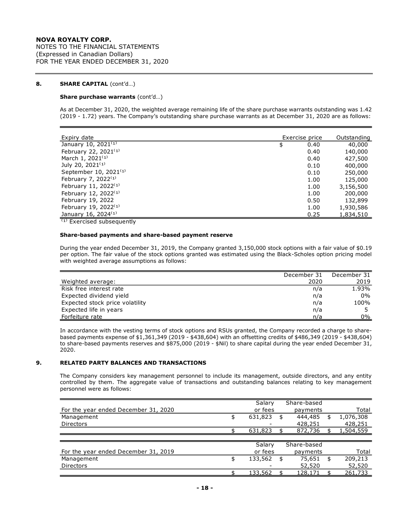### **8. SHARE CAPITAL** (cont'd…)

#### **Share purchase warrants** (cont'd…)

As at December 31, 2020, the weighted average remaining life of the share purchase warrants outstanding was 1.42 (2019 - 1.72) years. The Company's outstanding share purchase warrants as at December 31, 2020 are as follows:

| Expiry date                       | Exercise price | Outstanding |
|-----------------------------------|----------------|-------------|
| January 10, 2021 <sup>(1)</sup>   | \$<br>0.40     | 40,000      |
| February 22, 2021 <sup>(1)</sup>  | 0.40           | 140,000     |
| March 1, 2021 <sup>(1)</sup>      | 0.40           | 427,500     |
| July 20, 2021 <sup>(1)</sup>      | 0.10           | 400,000     |
| September 10, 2021 <sup>(1)</sup> | 0.10           | 250,000     |
| February 7, 2022 $(1)$            | 1.00           | 125,000     |
| February 11, 2022 <sup>(1)</sup>  | 1.00           | 3,156,500   |
| February 12, 2022 <sup>(1)</sup>  | 1.00           | 200,000     |
| February 19, 2022                 | 0.50           | 132,899     |
| February 19, 2022 <sup>(1)</sup>  | 1.00           | 1,930,586   |
| January 16, 2024 <sup>(1)</sup>   | 0.25           | 1,834,510   |

 $<sup>(1)</sup>$  Exercised subsequently</sup>

#### **Share-based payments and share-based payment reserve**

During the year ended December 31, 2019, the Company granted 3,150,000 stock options with a fair value of \$0.19 per option. The fair value of the stock options granted was estimated using the Black-Scholes option pricing model with weighted average assumptions as follows:

|                                 | December 31 | December 31 |
|---------------------------------|-------------|-------------|
| Weighted average:               | 2020        | 2019        |
| Risk free interest rate         | n/a         | 1.93%       |
| Expected dividend yield         | n/a         | $0\%$       |
| Expected stock price volatility | n/a         | 100%        |
| Expected life in years          | n/a         |             |
| Forfeiture rate                 | n/a         | 0%          |

In accordance with the vesting terms of stock options and RSUs granted, the Company recorded a charge to sharebased payments expense of \$1,361,349 (2019 - \$438,604) with an offsetting credits of \$486,349 (2019 - \$438,604) to share-based payments reserves and \$875,000 (2019 - \$Nil) to share capital during the year ended December 31, 2020.

# **9. RELATED PARTY BALANCES AND TRANSACTIONS**

The Company considers key management personnel to include its management, outside directors, and any entity controlled by them. The aggregate value of transactions and outstanding balances relating to key management personnel were as follows:

|                                      | Salary        |    | Share-based |                  |
|--------------------------------------|---------------|----|-------------|------------------|
| For the year ended December 31, 2020 | or fees       |    | payments    | Total            |
| Management                           | \$<br>631,823 | \$ | 444,485     | \$<br>1,076,308  |
| <b>Directors</b>                     |               |    | 428,251     | 428,251          |
|                                      | 631,823       |    | 872,736     | <u>1,504,559</u> |
|                                      |               |    |             |                  |
|                                      | Salary        |    | Share-based |                  |
| For the year ended December 31, 2019 | or fees       |    | payments    | Total            |
| Management                           | 133,562       | £. | 75,651      | 209,213          |
| <b>Directors</b>                     |               |    | 52,520      | 52,520           |
|                                      | 133,562       |    | 128,171     | 261,733          |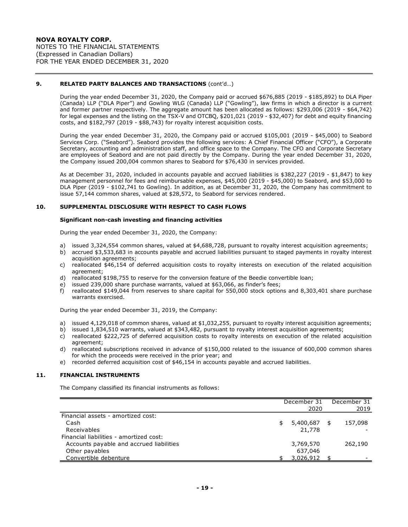### **9. RELATED PARTY BALANCES AND TRANSACTIONS** (cont'd…)

During the year ended December 31, 2020, the Company paid or accrued \$676,885 (2019 - \$185,892) to DLA Piper (Canada) LLP ("DLA Piper") and Gowling WLG (Canada) LLP ("Gowling"), law firms in which a director is a current and former partner respectively. The aggregate amount has been allocated as follows: \$293,006 (2019 - \$64,742) for legal expenses and the listing on the TSX-V and OTCBQ, \$201,021 (2019 - \$32,407) for debt and equity financing costs, and \$182,797 (2019 - \$88,743) for royalty interest acquisition costs.

During the year ended December 31, 2020, the Company paid or accrued \$105,001 (2019 - \$45,000) to Seabord Services Corp. ("Seabord"). Seabord provides the following services: A Chief Financial Officer ("CFO"), a Corporate Secretary, accounting and administration staff, and office space to the Company. The CFO and Corporate Secretary are employees of Seabord and are not paid directly by the Company. During the year ended December 31, 2020, the Company issued 200,004 common shares to Seabord for \$76,430 in services provided.

As at December 31, 2020, included in accounts payable and accrued liabilities is \$382,227 (2019 - \$1,847) to key management personnel for fees and reimbursable expenses, \$45,000 (2019 - \$45,000) to Seabord, and \$53,000 to DLA Piper (2019 - \$102,741 to Gowling). In addition, as at December 31, 2020, the Company has commitment to issue 57,144 common shares, valued at \$28,572, to Seabord for services rendered.

# **10. SUPPLEMENTAL DISCLOSURE WITH RESPECT TO CASH FLOWS**

#### **Significant non-cash investing and financing activities**

During the year ended December 31, 2020, the Company:

- a) issued 3,324,554 common shares, valued at \$4,688,728, pursuant to royalty interest acquisition agreements;
- b) accrued \$3,533,683 in accounts payable and accrued liabilities pursuant to staged payments in royalty interest acquisition agreements;
- c) reallocated \$46,154 of deferred acquisition costs to royalty interests on execution of the related acquisition agreement;
- d) reallocated \$198,755 to reserve for the conversion feature of the Beedie convertible loan;
- e) issued 239,000 share purchase warrants, valued at \$63,066, as finder's fees;
- f) reallocated \$149,044 from reserves to share capital for 550,000 stock options and 8,303,401 share purchase warrants exercised.

During the year ended December 31, 2019, the Company:

- a) issued 4,129,018 of common shares, valued at \$1,032,255, pursuant to royalty interest acquisition agreements;
- b) issued 1,834,510 warrants, valued at \$343,482, pursuant to royalty interest acquisition agreements;
- c) reallocated \$222,725 of deferred acquisition costs to royalty interests on execution of the related acquisition agreement;
- d) reallocated subscriptions received in advance of \$150,000 related to the issuance of 600,000 common shares for which the proceeds were received in the prior year; and
- e) recorded deferred acquisition cost of \$46,154 in accounts payable and accrued liabilities.

### **11. FINANCIAL INSTRUMENTS**

The Company classified its financial instruments as follows:

|                                          |   | December 31<br>2020 | December 31<br>2019 |
|------------------------------------------|---|---------------------|---------------------|
| Financial assets - amortized cost:       |   |                     |                     |
| Cash                                     | S | 5,400,687           | \$<br>157,098       |
| Receivables                              |   | 21,778              |                     |
| Financial liabilities - amortized cost:  |   |                     |                     |
| Accounts payable and accrued liabilities |   | 3,769,570           | 262,190             |
| Other payables                           |   | 637,046             |                     |
| Convertible debenture                    |   | 3,026,912           |                     |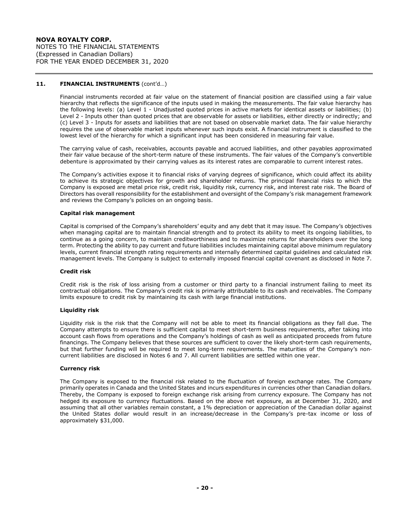# **NOVA ROYALTY CORP.** NOTES TO THE FINANCIAL STATEMENTS (Expressed in Canadian Dollars) FOR THE YEAR ENDED DECEMBER 31, 2020

### **11. FINANCIAL INSTRUMENTS** (cont'd…)

Financial instruments recorded at fair value on the statement of financial position are classified using a fair value hierarchy that reflects the significance of the inputs used in making the measurements. The fair value hierarchy has the following levels: (a) Level 1 - Unadjusted quoted prices in active markets for identical assets or liabilities; (b) Level 2 - Inputs other than quoted prices that are observable for assets or liabilities, either directly or indirectly; and (c) Level 3 - Inputs for assets and liabilities that are not based on observable market data. The fair value hierarchy requires the use of observable market inputs whenever such inputs exist. A financial instrument is classified to the lowest level of the hierarchy for which a significant input has been considered in measuring fair value.

The carrying value of cash, receivables, accounts payable and accrued liabilities, and other payables approximated their fair value because of the short-term nature of these instruments. The fair values of the Company's convertible debenture is approximated by their carrying values as its interest rates are comparable to current interest rates.

The Company's activities expose it to financial risks of varying degrees of significance, which could affect its ability to achieve its strategic objectives for growth and shareholder returns. The principal financial risks to which the Company is exposed are metal price risk, credit risk, liquidity risk, currency risk, and interest rate risk. The Board of Directors has overall responsibility for the establishment and oversight of the Company's risk management framework and reviews the Company's policies on an ongoing basis.

### **Capital risk management**

Capital is comprised of the Company's shareholders' equity and any debt that it may issue. The Company's objectives when managing capital are to maintain financial strength and to protect its ability to meet its ongoing liabilities, to continue as a going concern, to maintain creditworthiness and to maximize returns for shareholders over the long term. Protecting the ability to pay current and future liabilities includes maintaining capital above minimum regulatory levels, current financial strength rating requirements and internally determined capital guidelines and calculated risk management levels. The Company is subject to externally imposed financial capital covenant as disclosed in Note 7.

#### **Credit risk**

Credit risk is the risk of loss arising from a customer or third party to a financial instrument failing to meet its contractual obligations. The Company's credit risk is primarily attributable to its cash and receivables. The Company limits exposure to credit risk by maintaining its cash with large financial institutions.

### **Liquidity risk**

Liquidity risk is the risk that the Company will not be able to meet its financial obligations as they fall due. The Company attempts to ensure there is sufficient capital to meet short-term business requirements, after taking into account cash flows from operations and the Company's holdings of cash as well as anticipated proceeds from future financings. The Company believes that these sources are sufficient to cover the likely short-term cash requirements, but that further funding will be required to meet long-term requirements. The maturities of the Company's non‐ current liabilities are disclosed in Notes 6 and 7. All current liabilities are settled within one year.

#### **Currency risk**

The Company is exposed to the financial risk related to the fluctuation of foreign exchange rates. The Company primarily operates in Canada and the United States and incurs expenditures in currencies other than Canadian dollars. Thereby, the Company is exposed to foreign exchange risk arising from currency exposure. The Company has not hedged its exposure to currency fluctuations. Based on the above net exposure, as at December 31, 2020, and assuming that all other variables remain constant, a 1% depreciation or appreciation of the Canadian dollar against the United States dollar would result in an increase/decrease in the Company's pre-tax income or loss of approximately \$31,000.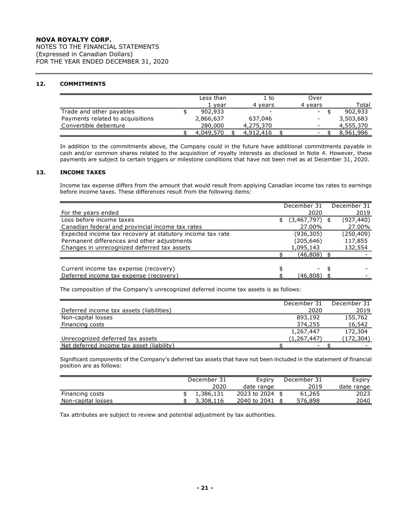NOTES TO THE FINANCIAL STATEMENTS (Expressed in Canadian Dollars) FOR THE YEAR ENDED DECEMBER 31, 2020

# **12. COMMITMENTS**

|                                  | Less than | 1 to      | Over    |           |
|----------------------------------|-----------|-----------|---------|-----------|
|                                  | 1 vear    | 4 vears   | 4 vears | Total     |
| Trade and other payables         | 902,933   | -         | $\sim$  | 902,933   |
| Payments related to acquisitions | 2,866,637 | 637,046   |         | 3,503,683 |
| Convertible debenture            | 280,000   | 4,275,370 | -       | 4,555,370 |
|                                  | 4,049,570 | 4,912,416 |         | 8,961,986 |

In addition to the commitments above, the Company could in the future have additional commitments payable in cash and/or common shares related to the acquisition of royalty interests as disclosed in Note 4. However, these payments are subject to certain triggers or milestone conditions that have not been met as at December 31, 2020.

# **13. INCOME TAXES**

Income tax expense differs from the amount that would result from applying Canadian income tax rates to earnings before income taxes. These differences result from the following items:

| December 31 |    | December 31                       |
|-------------|----|-----------------------------------|
| 2020        |    | 2019                              |
|             |    | (927, 440)                        |
|             |    | 27.00%                            |
| (936,305)   |    | (250, 409)                        |
| (205, 646)  |    | 117,855                           |
| 1,095,143   |    | 132,554                           |
|             |    |                                   |
|             |    |                                   |
|             | S  |                                   |
| (46,808)    |    |                                   |
|             | \$ | (3,467,797)<br>27.00%<br>(46,808) |

The composition of the Company's unrecognized deferred income tax assets is as follows:

|                                           | December 31   | December 31 |
|-------------------------------------------|---------------|-------------|
| Deferred income tax assets (liabilities)  | 2020          | 2019        |
| Non-capital losses                        | 893,192       | 155,762     |
| Financing costs                           | 374,255       | 16,542      |
|                                           | 1,267,447     | 172,304     |
| Unrecognized deferred tax assets          | (1, 267, 447) | (172, 304)  |
| Net deferred income tax asset (liability) |               |             |

Significant components of the Company's deferred tax assets that have not been included in the statement of financial position are as follows:

|                    | December 31 |           | Expiry          | December 31 | Expiry     |
|--------------------|-------------|-----------|-----------------|-------------|------------|
|                    |             | 2020      | date range      | 2019        | date range |
| Financing costs    |             | 1.386.131 | 2023 to 2024 \$ | 61,265      | 2023       |
| Non-capital losses |             | 3,308,116 | 2040 to 2041    | 576,898     | 2040       |

Tax attributes are subject to review and potential adjustment by tax authorities.